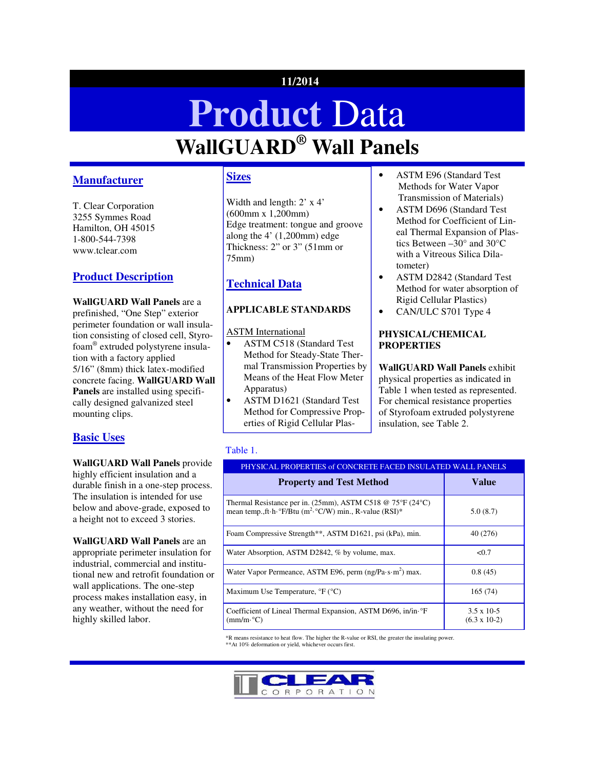# **11/2014**

# **Product** Data **WallGUARD® Wall Panels**

# **Manufacturer**

T. Clear Corporation 3255 Symmes Road Hamilton, OH 45015 1-800-544-7398 www.tclear.com

# **Product Description**

**WallGUARD Wall Panels** are a prefinished, "One Step" exterior perimeter foundation or wall insulation consisting of closed cell, Styrofoam® extruded polystyrene insulation with a factory applied 5/16" (8mm) thick latex-modified concrete facing. **WallGUARD Wall Panels** are installed using specifically designed galvanized steel mounting clips.

## **Basic Uses**

**WallGUARD Wall Panels** provide highly efficient insulation and a durable finish in a one-step process. The insulation is intended for use below and above-grade, exposed to a height not to exceed 3 stories.

**WallGUARD Wall Panels** are an appropriate perimeter insulation for industrial, commercial and institutional new and retrofit foundation or wall applications. The one-step process makes installation easy, in any weather, without the need for highly skilled labor.

## **Sizes**

Width and length: 2' x 4' (600mm x 1,200mm) Edge treatment: tongue and groove along the 4' (1,200mm) edge Thickness: 2" or 3" (51mm or 75mm)

# **Technical Data**

## **APPLICABLE STANDARDS**

ASTM International

- ASTM C518 (Standard Test Method for Steady-State Thermal Transmission Properties by Means of the Heat Flow Meter Apparatus)
- ASTM D1621 (Standard Test Method for Compressive Properties of Rigid Cellular Plas-
- ASTM E96 (Standard Test Methods for Water Vapor Transmission of Materials)
- ASTM D696 (Standard Test Method for Coefficient of Lineal Thermal Expansion of Plastics Between –30° and 30°C with a Vitreous Silica Dilatometer)
- ASTM D2842 (Standard Test Method for water absorption of Rigid Cellular Plastics)
- CAN/ULC S701 Type 4

### **PHYSICAL/CHEMICAL PROPERTIES**

**WallGUARD Wall Panels** exhibit physical properties as indicated in Table 1 when tested as represented. For chemical resistance properties of Styrofoam extruded polystyrene insulation, see Table 2.

## Table 1.

| PHYSICAL PROPERTIES of CONCRETE FACED INSULATED WALL PANELS                                                                                   |                                                |  |
|-----------------------------------------------------------------------------------------------------------------------------------------------|------------------------------------------------|--|
| <b>Property and Test Method</b>                                                                                                               | <b>Value</b>                                   |  |
| Thermal Resistance per in. (25mm), ASTM C518 @ 75°F (24°C)<br>mean temp., ft h $\rm{P/Btu}$ (m <sup>2</sup> $\rm{C/W}$ ) min., R-value (RSI)* | 5.0(8.7)                                       |  |
| Foam Compressive Strength**, ASTM D1621, psi (kPa), min.                                                                                      | 40 (276)                                       |  |
| Water Absorption, ASTM D2842, % by volume, max.                                                                                               | < 0.7                                          |  |
| Water Vapor Permeance, ASTM E96, perm (ng/Pa·s·m <sup>2</sup> ) max.                                                                          | 0.8(45)                                        |  |
| Maximum Use Temperature, ${}^{\circ}F$ ( ${}^{\circ}C$ )                                                                                      | 165 (74)                                       |  |
| Coefficient of Lineal Thermal Expansion, ASTM D696, in/in· °F<br>$\text{(mm/m} \cdot {}^{\circ}\text{C})$                                     | $3.5 \times 10^{-5}$<br>$(6.3 \times 10^{-2})$ |  |

\*R means resistance to heat flow. The higher the R-value or RSI, the greater the insulating power. \*\*At 10% deformation or yield, whichever occurs first.